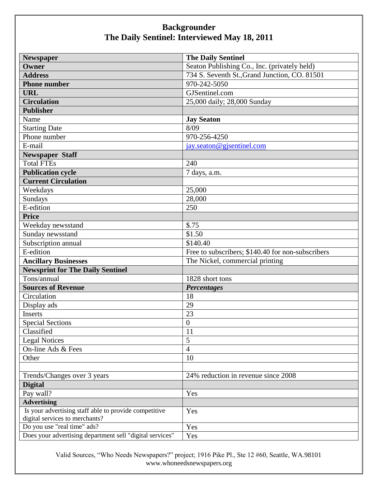| <b>Newspaper</b>                                         | <b>The Daily Sentinel</b>                         |
|----------------------------------------------------------|---------------------------------------------------|
| Owner                                                    | Seaton Publishing Co., Inc. (privately held)      |
| <b>Address</b>                                           | 734 S. Seventh St., Grand Junction, CO. 81501     |
| <b>Phone number</b>                                      | 970-242-5050                                      |
| <b>URL</b>                                               | GJSentinel.com                                    |
| <b>Circulation</b>                                       | 25,000 daily; 28,000 Sunday                       |
| <b>Publisher</b>                                         |                                                   |
| Name                                                     | <b>Jay Seaton</b>                                 |
| <b>Starting Date</b>                                     | 8/09                                              |
| Phone number                                             | 970-256-4250                                      |
| E-mail                                                   | jay.seaton@gjsentinel.com                         |
| <b>Newspaper Staff</b>                                   |                                                   |
| <b>Total FTEs</b>                                        | 240                                               |
| <b>Publication cycle</b>                                 | 7 days, a.m.                                      |
| <b>Current Circulation</b>                               |                                                   |
| Weekdays                                                 | 25,000                                            |
| Sundays                                                  | 28,000                                            |
| E-edition                                                | 250                                               |
| <b>Price</b>                                             |                                                   |
| Weekday newsstand                                        | \$.75                                             |
| Sunday newsstand                                         | \$1.50                                            |
| Subscription annual                                      | \$140.40                                          |
| E-edition                                                | Free to subscribers; \$140.40 for non-subscribers |
| <b>Ancillary Businesses</b>                              | The Nickel, commercial printing                   |
| <b>Newsprint for The Daily Sentinel</b>                  |                                                   |
| Tons/annual                                              | 1828 short tons                                   |
| <b>Sources of Revenue</b>                                | <b>Percentages</b>                                |
| Circulation                                              | 18                                                |
| Display ads                                              | 29                                                |
| Inserts                                                  | 23                                                |
| <b>Special Sections</b>                                  | $\boldsymbol{0}$                                  |
| Classified                                               | $\mathbf{I}$                                      |
| <b>Legal Notices</b>                                     | 5                                                 |
| On-line Ads & Fees                                       | $\overline{4}$                                    |
| Other                                                    | 10                                                |
|                                                          |                                                   |
| Trends/Changes over 3 years                              | 24% reduction in revenue since 2008               |
| <b>Digital</b>                                           |                                                   |
| Pay wall?                                                | Yes                                               |
| <b>Advertising</b>                                       |                                                   |
| Is your advertising staff able to provide competitive    | Yes                                               |
| digital services to merchants?                           |                                                   |
| Do you use "real time" ads?                              | Yes                                               |
| Does your advertising department sell "digital services" | Yes                                               |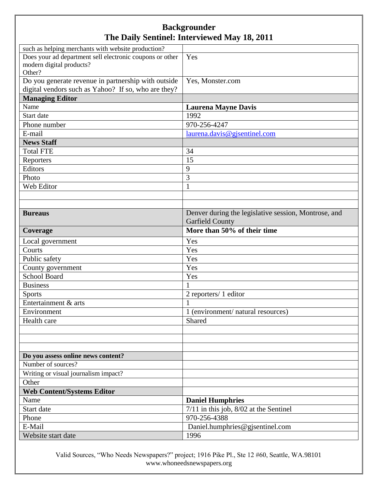| such as helping merchants with website production?       |                                                      |
|----------------------------------------------------------|------------------------------------------------------|
| Does your ad department sell electronic coupons or other | Yes                                                  |
| modern digital products?                                 |                                                      |
| Other?                                                   |                                                      |
| Do you generate revenue in partnership with outside      | Yes, Monster.com                                     |
| digital vendors such as Yahoo? If so, who are they?      |                                                      |
| <b>Managing Editor</b>                                   |                                                      |
| Name                                                     | <b>Laurena Mayne Davis</b>                           |
| Start date                                               | 1992                                                 |
| Phone number                                             | 970-256-4247                                         |
| E-mail                                                   | laurena.davis@gjsentinel.com                         |
| <b>News Staff</b>                                        |                                                      |
| <b>Total FTE</b>                                         | 34                                                   |
| Reporters                                                | 15                                                   |
| Editors                                                  | 9                                                    |
| Photo                                                    | 3                                                    |
| Web Editor                                               | 1                                                    |
|                                                          |                                                      |
|                                                          |                                                      |
| <b>Bureaus</b>                                           | Denver during the legislative session, Montrose, and |
|                                                          | <b>Garfield County</b>                               |
| Coverage                                                 | More than 50% of their time                          |
| Local government                                         | Yes                                                  |
| Courts                                                   | Yes                                                  |
| Public safety                                            | Yes                                                  |
| County government                                        | Yes                                                  |
| <b>School Board</b>                                      | Yes                                                  |
| <b>Business</b>                                          |                                                      |
| <b>Sports</b>                                            | 2 reporters/ 1 editor                                |
| Entertainment & arts                                     | $\mathbf{1}$                                         |
| Environment                                              | 1 (environment/ natural resources)                   |
| Health care                                              | Shared                                               |
|                                                          |                                                      |
|                                                          |                                                      |
|                                                          |                                                      |
| Do you assess online news content?                       |                                                      |
| Number of sources?                                       |                                                      |
| Writing or visual journalism impact?                     |                                                      |
| Other                                                    |                                                      |
| <b>Web Content/Systems Editor</b>                        |                                                      |
| Name                                                     | <b>Daniel Humphries</b>                              |
| Start date                                               | $7/11$ in this job, $8/02$ at the Sentinel           |
|                                                          | $970 - 256 - 4388$                                   |
| Phone                                                    |                                                      |
| E-Mail                                                   | Daniel.humphries@gjsentinel.com                      |
| Website start date                                       | 1996                                                 |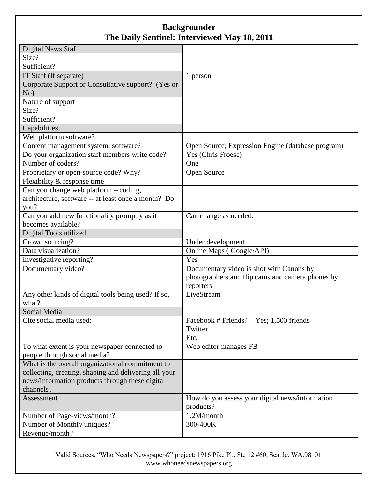| <b>Digital News Staff</b>                             |                                                   |
|-------------------------------------------------------|---------------------------------------------------|
| Size?                                                 |                                                   |
| Sufficient?                                           |                                                   |
| IT Staff (If separate)                                | 1 person                                          |
| Corporate Support or Consultative support? (Yes or    |                                                   |
| No)                                                   |                                                   |
| Nature of support                                     |                                                   |
| Size?                                                 |                                                   |
| Sufficient?                                           |                                                   |
| Capabilities                                          |                                                   |
| Web platform software?                                |                                                   |
| Content management system: software?                  | Open Source; Expression Engine (database program) |
| Do your organization staff members write code?        | Yes (Chris Froese)                                |
| Number of coders?                                     | One                                               |
| Proprietary or open-source code? Why?                 | Open Source                                       |
| Flexibility & response time                           |                                                   |
| Can you change web platform - coding,                 |                                                   |
| architecture, software -- at least once a month? Do   |                                                   |
| you?                                                  |                                                   |
| Can you add new functionality promptly as it          | Can change as needed.                             |
| becomes available?                                    |                                                   |
| Digital Tools utilized                                |                                                   |
| Crowd sourcing?                                       | Under development                                 |
| Data visualization?                                   | Online Maps (Google/API)                          |
| Investigative reporting?                              | Yes                                               |
| Documentary video?                                    | Documentary video is shot with Canons by          |
|                                                       | photographers and flip cams and camera phones by  |
|                                                       | reporters                                         |
| Any other kinds of digital tools being used? If so,   | LiveStream                                        |
| what?                                                 |                                                   |
| Social Media                                          |                                                   |
| Cite social media used:                               | Facebook # Friends? - Yes; 1,500 friends          |
|                                                       | Twitter                                           |
|                                                       | Etc.                                              |
| To what extent is your newspaper connected to         | Web editor manages FB                             |
| people through social media?                          |                                                   |
| What is the overall organizational commitment to      |                                                   |
| collecting, creating, shaping and delivering all your |                                                   |
| news/information products through these digital       |                                                   |
| channels?                                             |                                                   |
| Assessment                                            | How do you assess your digital news/information   |
|                                                       | products?                                         |
| Number of Page-views/month?                           | 1.2M/month                                        |
| Number of Monthly uniques?                            | 300-400K                                          |
| Revenue/month?                                        |                                                   |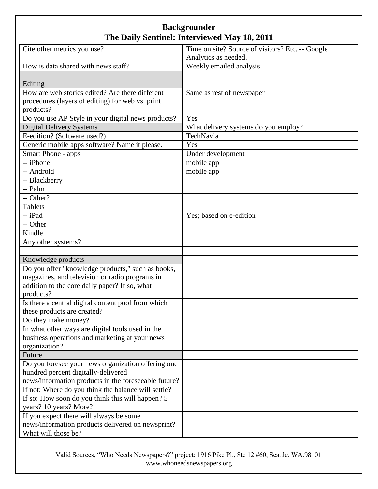| Cite other metrics you use?                          | Time on site? Source of visitors? Etc. -- Google |
|------------------------------------------------------|--------------------------------------------------|
|                                                      | Analytics as needed.                             |
| How is data shared with news staff?                  | Weekly emailed analysis                          |
|                                                      |                                                  |
| Editing                                              |                                                  |
| How are web stories edited? Are there different      | Same as rest of newspaper                        |
| procedures (layers of editing) for web vs. print     |                                                  |
| products?                                            |                                                  |
| Do you use AP Style in your digital news products?   | Yes                                              |
| <b>Digital Delivery Systems</b>                      | What delivery systems do you employ?             |
| E-edition? (Software used?)                          | TechNavia                                        |
| Generic mobile apps software? Name it please.        | Yes                                              |
| Smart Phone - apps                                   | Under development                                |
| -- iPhone                                            | mobile app                                       |
| -- Android                                           | mobile app                                       |
| -- Blackberry                                        |                                                  |
| -- Palm                                              |                                                  |
| -- Other?                                            |                                                  |
| <b>Tablets</b>                                       |                                                  |
| -- iPad                                              | Yes; based on e-edition                          |
| -- Other                                             |                                                  |
| Kindle                                               |                                                  |
| Any other systems?                                   |                                                  |
|                                                      |                                                  |
| Knowledge products                                   |                                                  |
| Do you offer "knowledge products," such as books,    |                                                  |
| magazines, and television or radio programs in       |                                                  |
| addition to the core daily paper? If so, what        |                                                  |
| products?                                            |                                                  |
| Is there a central digital content pool from which   |                                                  |
| these products are created?                          |                                                  |
| Do they make money?                                  |                                                  |
| In what other ways are digital tools used in the     |                                                  |
| business operations and marketing at your news       |                                                  |
| organization?                                        |                                                  |
| Future                                               |                                                  |
| Do you foresee your news organization offering one   |                                                  |
| hundred percent digitally-delivered                  |                                                  |
| news/information products in the foreseeable future? |                                                  |
| If not: Where do you think the balance will settle?  |                                                  |
| If so: How soon do you think this will happen? 5     |                                                  |
| years? 10 years? More?                               |                                                  |
| If you expect there will always be some              |                                                  |
| news/information products delivered on newsprint?    |                                                  |
| What will those be?                                  |                                                  |